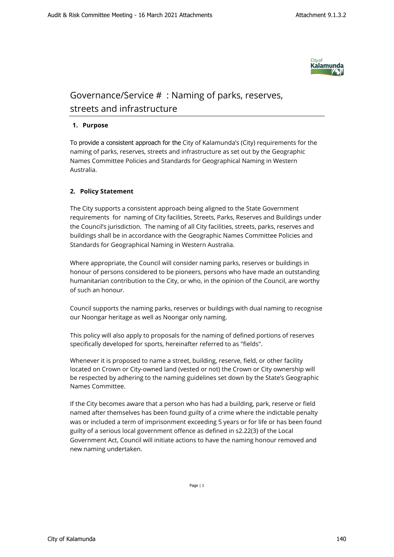

## Governance/Service # : Naming of parks, reserves, streets and infrastructure

## **1. Purpose**

To provide a consistent approach for the City of Kalamunda's (City) requirements for the naming of parks, reserves, streets and infrastructure as set out by the Geographic Names Committee Policies and Standards for Geographical Naming in Western Australia.

## **2. Policy Statement**

The City supports a consistent approach being aligned to the State Government requirements for naming of City facilities, Streets, Parks, Reserves and Buildings under the Council's jurisdiction. The naming of all City facilities, streets, parks, reserves and buildings shall be in accordance with the Geographic Names Committee Policies and Standards for Geographical Naming in Western Australia.

Where appropriate, the Council will consider naming parks, reserves or buildings in honour of persons considered to be pioneers, persons who have made an outstanding humanitarian contribution to the City, or who, in the opinion of the Council, are worthy of such an honour.

Council supports the naming parks, reserves or buildings with dual naming to recognise our Noongar heritage as well as Noongar only naming.

This policy will also apply to proposals for the naming of defined portions of reserves specifically developed for sports, hereinafter referred to as "fields".

Whenever it is proposed to name a street, building, reserve, field, or other facility located on Crown or City-owned land (vested or not) the Crown or City ownership will be respected by adhering to the naming guidelines set down by the State's Geographic Names Committee.

If the City becomes aware that a person who has had a building, park, reserve or field named after themselves has been found guilty of a crime where the indictable penalty was or included a term of imprisonment exceeding 5 years or for life or has been found guilty of a serious local government offence as defined in s2.22(3) of the Local Government Act, Council will initiate actions to have the naming honour removed and new naming undertaken.

Page | 1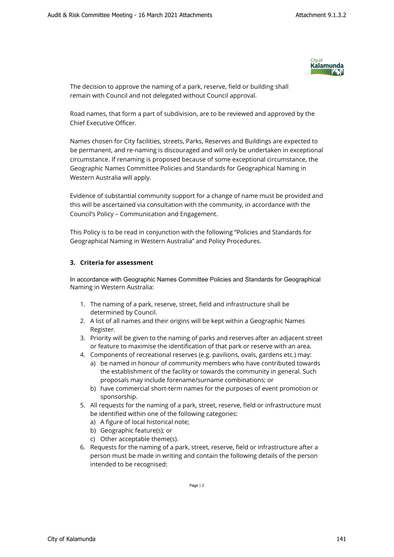

The decision to approve the naming of a park, reserve, field or building shall remain with Council and not delegated without Council approval.

Road names, that form a part of subdivision, are to be reviewed and approved by the Chief Executive Officer.

Names chosen for City facilities, streets, Parks, Reserves and Buildings are expected to be permanent, and re-naming is discouraged and will only be undertaken in exceptional circumstance. If renaming is proposed because of some exceptional circumstance, the Geographic Names Committee Policies and Standards for Geographical Naming in Western Australia will apply.

Evidence of substantial community support for a change of name must be provided and this will be ascertained via consultation with the community, in accordance with the Council's Policy – Communication and Engagement.

This Policy is to be read in conjunction with the following "Policies and Standards for Geographical Naming in Western Australia" and Policy Procedures.

## **3. Criteria for assessment**

In accordance with Geographic Names Committee Policies and Standards for Geographical Naming in Western Australia:

- 1. The naming of a park, reserve, street, field and infrastructure shall be determined by Council.
- 2. A list of all names and their origins will be kept within a Geographic Names Register.
- 3. Priority will be given to the naming of parks and reserves after an adjacent street or feature to maximise the identification of that park or reserve with an area.
- 4. Components of recreational reserves (e.g. pavilions, ovals, gardens etc.) may:
	- a) be named in honour of community members who have contributed towards the establishment of the facility or towards the community in general. Such proposals may include forename/surname combinations; or
	- b) have commercial short-term names for the purposes of event promotion or sponsorship.
- 5. All requests for the naming of a park, street, reserve, field or infrastructure must be identified within one of the following categories:
	- a) A figure of local historical note;
	- b) Geographic feature(s); or
	- c) Other acceptable theme(s).
- 6. Requests for the naming of a park, street, reserve, field or infrastructure after a person must be made in writing and contain the following details of the person intended to be recognised:

Page | 2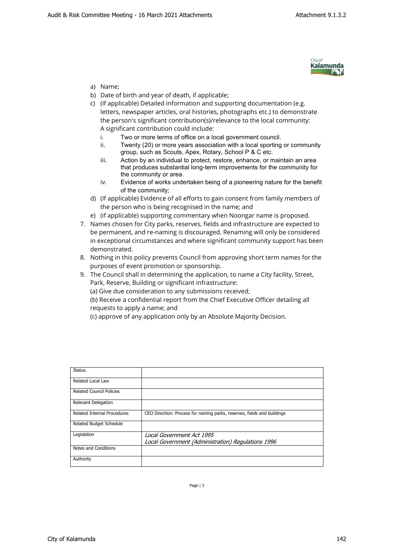

- a) Name;
- b) Date of birth and year of death, if applicable;
- c) (If applicable) Detailed information and supporting documentation (e.g. letters, newspaper articles, oral histories, photographs etc.) to demonstrate the person's significant contribution(s)/relevance to the local community: A significant contribution could include:
	- i. Two or more terms of office on a local government council.
	- ii. Twenty (20) or more years association with a local sporting or community group, such as Scouts, Apex, Rotary, School P & C etc.
	- iii. Action by an individual to protect, restore, enhance, or maintain an area that produces substantial long-term improvements for the community for the community or area.
	- iv. Evidence of works undertaken being of a pioneering nature for the benefit of the community;
- d) (If applicable) Evidence of all efforts to gain consent from family members of the person who is being recognised in the name; and
- e) (if applicable) supporting commentary when Noongar name is proposed.
- 7. Names chosen for City parks, reserves, fields and infrastructure are expected to be permanent, and re-naming is discouraged. Renaming will only be considered in exceptional circumstances and where significant community support has been demonstrated.
- 8. Nothing in this policy prevents Council from approving short term names for the purposes of event promotion or sponsorship.
- 9. The Council shall in determining the application, to name a City facility, Street, Park, Reserve, Building or significant infrastructure:
	- (a) Give due consideration to any submissions received;
	- (b) Receive a confidential report from the Chief Executive Officer detailing all requests to apply a name; and
	- (c) approve of any application only by an Absolute Majority Decision.

| CEO Direction: Process for naming parks, reserves, fields and buildings |
|-------------------------------------------------------------------------|
|                                                                         |
| Local Government Act 1995                                               |
| Local Government (Administration) Regulations 1996                      |
|                                                                         |
|                                                                         |
|                                                                         |